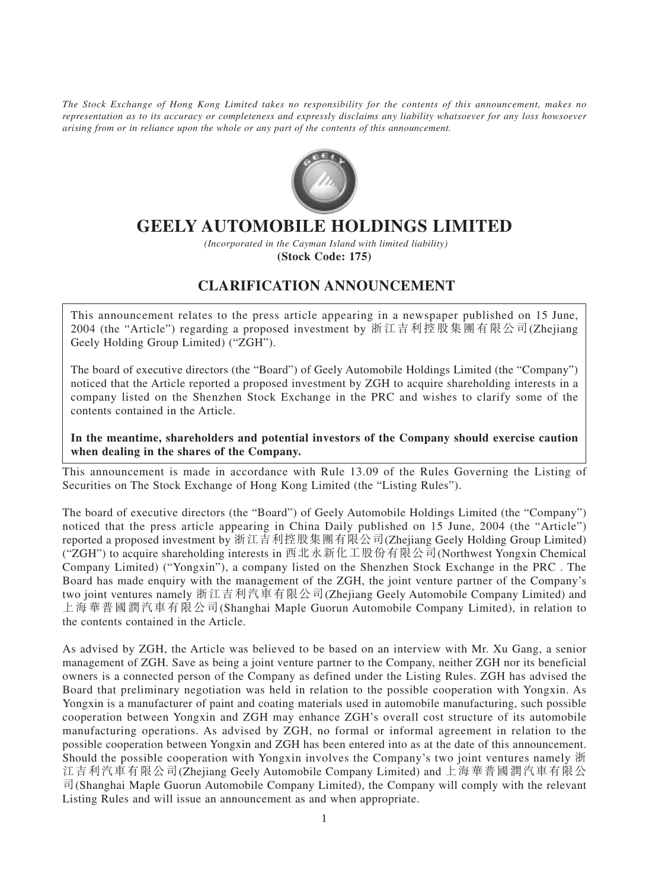*The Stock Exchange of Hong Kong Limited takes no responsibility for the contents of this announcement, makes no representation as to its accuracy or completeness and expressly disclaims any liability whatsoever for any loss howsoever arising from or in reliance upon the whole or any part of the contents of this announcement.*



## **GEELY AUTOMOBILE HOLDINGS LIMITED**

 *(Incorporated in the Cayman Island with limited liability)* **(Stock Code: 175)**

## **CLARIFICATION ANNOUNCEMENT**

This announcement relates to the press article appearing in a newspaper published on 15 June, 2004 (the "Article") regarding a proposed investment by 浙江吉利控股集團有限公司(Zhejiang Geely Holding Group Limited) ("ZGH").

The board of executive directors (the "Board") of Geely Automobile Holdings Limited (the "Company") noticed that the Article reported a proposed investment by ZGH to acquire shareholding interests in a company listed on the Shenzhen Stock Exchange in the PRC and wishes to clarify some of the contents contained in the Article.

## **In the meantime, shareholders and potential investors of the Company should exercise caution when dealing in the shares of the Company.**

This announcement is made in accordance with Rule 13.09 of the Rules Governing the Listing of Securities on The Stock Exchange of Hong Kong Limited (the "Listing Rules").

The board of executive directors (the "Board") of Geely Automobile Holdings Limited (the "Company") noticed that the press article appearing in China Daily published on 15 June, 2004 (the "Article") reported a proposed investment by 浙江吉利控股集團有限公司(Zhejiang Geely Holding Group Limited) ("ZGH") to acquire shareholding interests in 西北永新化工股份有限公司(Northwest Yongxin Chemical Company Limited) ("Yongxin"), a company listed on the Shenzhen Stock Exchange in the PRC . The Board has made enquiry with the management of the ZGH, the joint venture partner of the Company's two joint ventures namely 浙江吉利汽車有限公司(Zhejiang Geely Automobile Company Limited) and 上海華普國潤汽車有限公司(Shanghai Maple Guorun Automobile Company Limited), in relation to the contents contained in the Article.

As advised by ZGH, the Article was believed to be based on an interview with Mr. Xu Gang, a senior management of ZGH. Save as being a joint venture partner to the Company, neither ZGH nor its beneficial owners is a connected person of the Company as defined under the Listing Rules. ZGH has advised the Board that preliminary negotiation was held in relation to the possible cooperation with Yongxin. As Yongxin is a manufacturer of paint and coating materials used in automobile manufacturing, such possible cooperation between Yongxin and ZGH may enhance ZGH's overall cost structure of its automobile manufacturing operations. As advised by ZGH, no formal or informal agreement in relation to the possible cooperation between Yongxin and ZGH has been entered into as at the date of this announcement. Should the possible cooperation with Yongxin involves the Company's two joint ventures namely 浙 江吉利汽車有限公司(Zhejiang Geely Automobile Company Limited) and 上海華普國潤汽車有限公 司(Shanghai Maple Guorun Automobile Company Limited), the Company will comply with the relevant Listing Rules and will issue an announcement as and when appropriate.